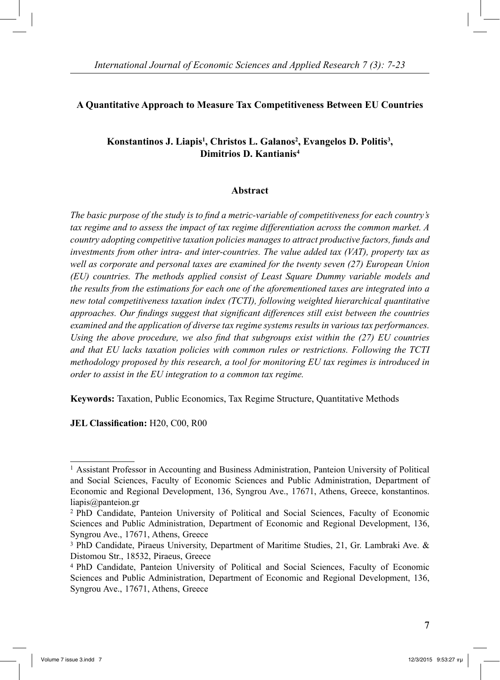### **A Quantitative Approach to Measure Tax Competitiveness Between EU Countries**

# Konstantinos J. Liapis<sup>1</sup>, Christos L. Galanos<sup>2</sup>, Evangelos D. Politis<sup>3</sup>, **Dimitrios D. Kantianis4**

#### **Abstract**

*The basic purpose of the study is to find a metric-variable of competitiveness for each country's tax regime and to assess the impact of tax regime differentiation across the common market. A country adopting competitive taxation policies manages to attract productive factors, funds and investments from other intra- and inter-countries. The value added tax (VAT), property tax as well as corporate and personal taxes are examined for the twenty seven (27) European Union (EU) countries. The methods applied consist of Least Square Dummy variable models and the results from the estimations for each one of the aforementioned taxes are integrated into a new total competitiveness taxation index (TCTI), following weighted hierarchical quantitative approaches. Our findings suggest that significant differences still exist between the countries examined and the application of diverse tax regime systems results in various tax performances. Using the above procedure, we also find that subgroups exist within the (27) EU countries and that EU lacks taxation policies with common rules or restrictions. Following the TCTI methodology proposed by this research, a tool for monitoring EU tax regimes is introduced in order to assist in the EU integration to a common tax regime.* 

**Keywords:** Taxation, Public Economics, Tax Regime Structure, Quantitative Methods

**JEL Classification:** H20, C00, R00

<sup>1</sup> Assistant Professor in Accounting and Business Administration, Panteion University of Political and Social Sciences, Faculty of Economic Sciences and Public Administration, Department of Economic and Regional Development, 136, Syngrou Ave., 17671, Athens, Greece, konstantinos. liapis@panteion.gr

<sup>2</sup> PhD Candidate, Panteion University of Political and Social Sciences, Faculty of Economic Sciences and Public Administration, Department of Economic and Regional Development, 136, Syngrou Ave., 17671, Athens, Greece

<sup>3</sup> PhD Candidate, Piraeus University, Department of Maritime Studies, 21, Gr. Lambraki Ave. & Distomou Str., 18532, Piraeus, Greece

<sup>4</sup> PhD Candidate, Panteion University of Political and Social Sciences, Faculty of Economic Sciences and Public Administration, Department of Economic and Regional Development, 136, Syngrou Ave., 17671, Athens, Greece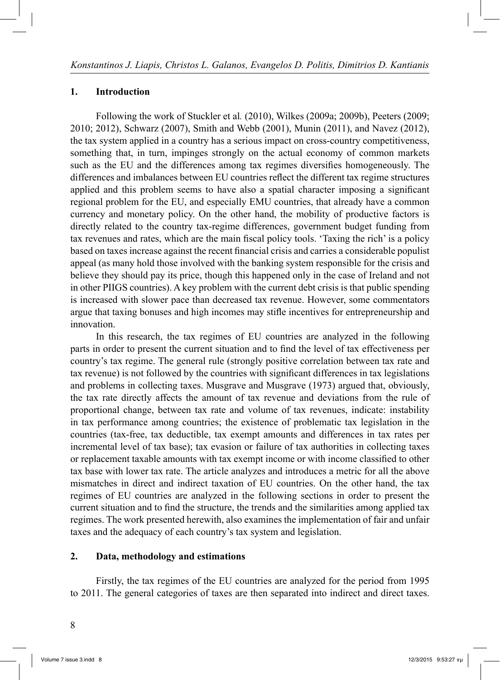#### **1. Introduction**

 Following the work of Stuckler et al*.* (2010), Wilkes (2009a; 2009b), Peeters (2009; 2010; 2012), Schwarz (2007), Smith and Webb (2001), Munin (2011), and Navez (2012), the tax system applied in a country has a serious impact on cross-country competitiveness, something that, in turn, impinges strongly on the actual economy of common markets such as the EU and the differences among tax regimes diversifies homogeneously. The differences and imbalances between EU countries reflect the different tax regime structures applied and this problem seems to have also a spatial character imposing a significant regional problem for the EU, and especially EMU countries, that already have a common currency and monetary policy. On the other hand, the mobility of productive factors is directly related to the country tax-regime differences, government budget funding from tax revenues and rates, which are the main fiscal policy tools. 'Taxing the rich' is a policy based on taxes increase against the recent financial crisis and carries a considerable populist appeal (as many hold those involved with the banking system responsible for the crisis and believe they should pay its price, though this happened only in the case of Ireland and not in other PIIGS countries). A key problem with the current debt crisis is that public spending is increased with slower pace than decreased tax revenue. However, some commentators argue that taxing bonuses and high incomes may stifle incentives for entrepreneurship and innovation.

 In this research, the tax regimes of EU countries are analyzed in the following parts in order to present the current situation and to find the level of tax effectiveness per country's tax regime. The general rule (strongly positive correlation between tax rate and tax revenue) is not followed by the countries with significant differences in tax legislations and problems in collecting taxes. Musgrave and Musgrave (1973) argued that, obviously, the tax rate directly affects the amount of tax revenue and deviations from the rule of proportional change, between tax rate and volume of tax revenues, indicate: instability in tax performance among countries; the existence of problematic tax legislation in the countries (tax-free, tax deductible, tax exempt amounts and differences in tax rates per incremental level of tax base); tax evasion or failure of tax authorities in collecting taxes or replacement taxable amounts with tax exempt income or with income classified to other tax base with lower tax rate. The article analyzes and introduces a metric for all the above mismatches in direct and indirect taxation of EU countries. On the other hand, the tax regimes of EU countries are analyzed in the following sections in order to present the current situation and to find the structure, the trends and the similarities among applied tax regimes. The work presented herewith, also examines the implementation of fair and unfair taxes and the adequacy of each country's tax system and legislation.

#### **2. Data, methodology and estimations**

 Firstly, the tax regimes of the EU countries are analyzed for the period from 1995 to 2011. The general categories of taxes are then separated into indirect and direct taxes.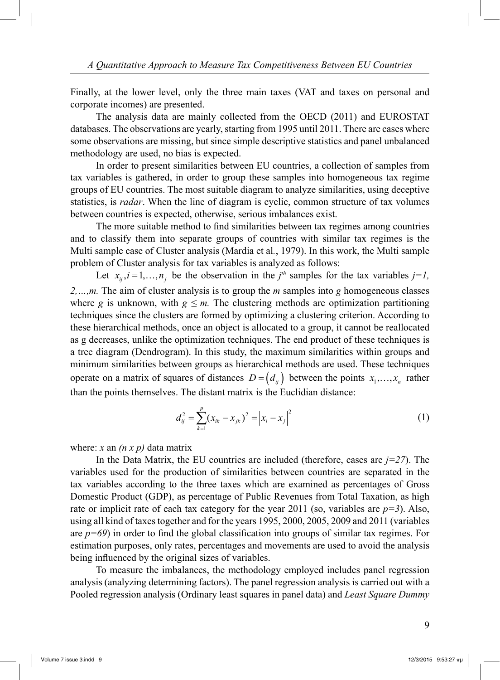Finally, at the lower level, only the three main taxes (VAT and taxes on personal and corporate incomes) are presented.

 The analysis data are mainly collected from the OECD (2011) and EUROSTAT databases. The observations are yearly, starting from 1995 until 2011. There are cases where some observations are missing, but since simple descriptive statistics and panel unbalanced methodology are used, no bias is expected.

 In order to present similarities between EU countries, a collection of samples from tax variables is gathered, in order to group these samples into homogeneous tax regime groups of EU countries. The most suitable diagram to analyze similarities, using deceptive statistics, is *radar*. When the line of diagram is cyclic, common structure of tax volumes between countries is expected, otherwise, serious imbalances exist.

 The more suitable method to find similarities between tax regimes among countries and to classify them into separate groups of countries with similar tax regimes is the Multi sample case of Cluster analysis (Mardia et al*.*, 1979). In this work, the Multi sample problem of Cluster analysis for tax variables is analyzed as follows:

Let  $x_{ij}$ ,  $i = 1, ..., n_j$  be the observation in the  $j<sup>th</sup>$  samples for the tax variables  $j = 1$ , *2,…,m.* The aim of cluster analysis is to group the *m* samples into *g* homogeneous classes where *g* is unknown, with  $g \leq m$ . The clustering methods are optimization partitioning techniques since the clusters are formed by optimizing a clustering criterion. According to these hierarchical methods, once an object is allocated to a group, it cannot be reallocated as g decreases, unlike the optimization techniques. The end product of these techniques is a tree diagram (Dendrogram). In this study, the maximum similarities within groups and minimum similarities between groups as hierarchical methods are used. These techniques operate on a matrix of squares of distances  $D = (d_{ij})$  between the points  $x_1, \dots, x_n$  rather than the points themselves. The distant matrix is the Euclidian distance:

$$
d_{ij}^{2} = \sum_{k=1}^{p} (x_{ik} - x_{jk})^{2} = |x_{i} - x_{j}|^{2}
$$
 (1)

where: *x* an *(n x p)* data matrix

In the Data Matrix, the EU countries are included (therefore, cases are  $j=27$ ). The variables used for the production of similarities between countries are separated in the tax variables according to the three taxes which are examined as percentages of Gross Domestic Product (GDP), as percentage of Public Revenues from Total Taxation, as high rate or implicit rate of each tax category for the year 2011 (so, variables are  $p=3$ ). Also, using all kind of taxes together and for the years 1995, 2000, 2005, 2009 and 2011 (variables are  $p=69$ ) in order to find the global classification into groups of similar tax regimes. For estimation purposes, only rates, percentages and movements are used to avoid the analysis being influenced by the original sizes of variables.

 To measure the imbalances, the methodology employed includes panel regression analysis (analyzing determining factors). The panel regression analysis is carried out with a Pooled regression analysis (Ordinary least squares in panel data) and *Least Square Dummy*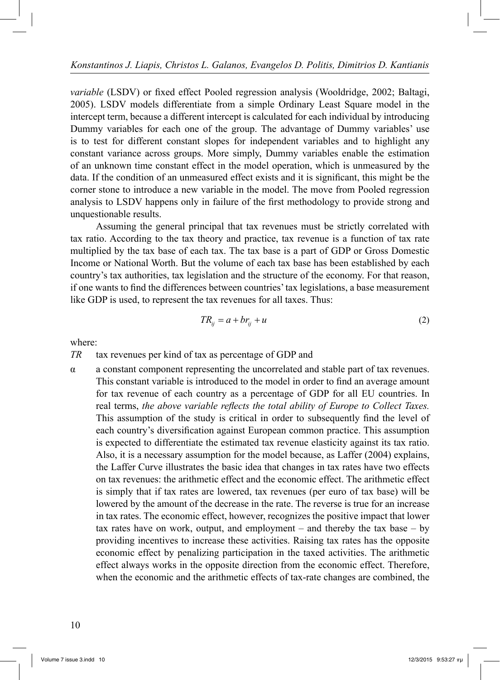*variable* (LSDV) or fixed effect Pooled regression analysis (Wooldridge, 2002; Baltagi, 2005). LSDV models differentiate from a simple Ordinary Least Square model in the intercept term, because a different intercept is calculated for each individual by introducing Dummy variables for each one of the group. The advantage of Dummy variables' use is to test for different constant slopes for independent variables and to highlight any constant variance across groups. More simply, Dummy variables enable the estimation of an unknown time constant effect in the model operation, which is unmeasured by the data. If the condition of an unmeasured effect exists and it is significant, this might be the corner stone to introduce a new variable in the model. The move from Pooled regression analysis to LSDV happens only in failure of the first methodology to provide strong and unquestionable results.

 Assuming the general principal that tax revenues must be strictly correlated with tax ratio. According to the tax theory and practice, tax revenue is a function of tax rate multiplied by the tax base of each tax. The tax base is a part of GDP or Gross Domestic Income or National Worth. But the volume of each tax base has been established by each country's tax authorities, tax legislation and the structure of the economy. For that reason, if one wants to find the differences between countries' tax legislations, a base measurement like GDP is used, to represent the tax revenues for all taxes. Thus:

$$
TR_{ij} = a + br_{ij} + u \tag{2}
$$

where:

*TR* tax revenues per kind of tax as percentage of GDP and

α a constant component representing the uncorrelated and stable part of tax revenues. This constant variable is introduced to the model in order to find an average amount for tax revenue of each country as a percentage of GDP for all EU countries. In real terms, *the above variable reflects the total ability of Europe to Collect Taxes.* This assumption of the study is critical in order to subsequently find the level of each country's diversification against European common practice. This assumption is expected to differentiate the estimated tax revenue elasticity against its tax ratio. Also, it is a necessary assumption for the model because, as Laffer (2004) explains, the Laffer Curve illustrates the basic idea that changes in tax rates have two effects on tax revenues: the arithmetic effect and the economic effect. The arithmetic effect is simply that if tax rates are lowered, tax revenues (per euro of tax base) will be lowered by the amount of the decrease in the rate. The reverse is true for an increase in tax rates. The economic effect, however, recognizes the positive impact that lower tax rates have on work, output, and employment – and thereby the tax base – by providing incentives to increase these activities. Raising tax rates has the opposite economic effect by penalizing participation in the taxed activities. The arithmetic effect always works in the opposite direction from the economic effect. Therefore, when the economic and the arithmetic effects of tax-rate changes are combined, the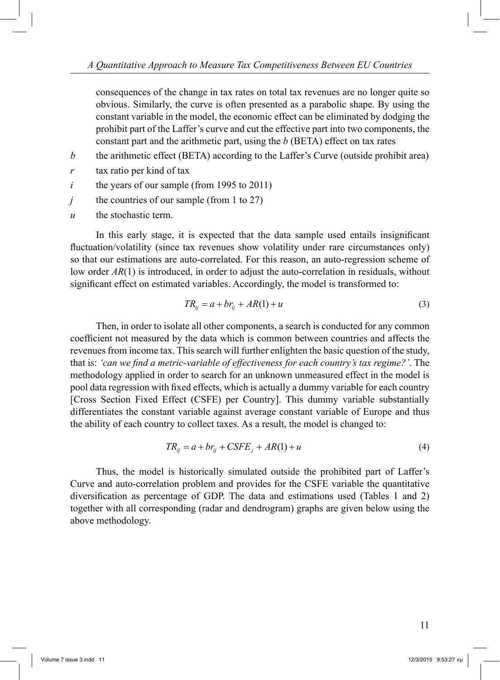consequences of the change in tax rates on total tax revenues are no longer quite so obvious. Similarly, the curve is often presented as a parabolic shape. By using the constant variable in the model, the economic effect can be eliminated by dodging the prohibit part of the Laffer's curve and cut the effective part into two components, the constant part and the arithmetic part, using the *b* (BETA) effect on tax rates

- *b* the arithmetic effect (BETA) according to the Laffer's Curve (outside prohibit area)
- *r* tax ratio per kind of tax
- *i* the years of our sample (from 1995 to 2011)
- *j* the countries of our sample (from 1 to 27)
- *u* the stochastic term.

 In this early stage, it is expected that the data sample used entails insignificant fluctuation/volatility (since tax revenues show volatility under rare circumstances only) so that our estimations are auto-correlated. For this reason, an auto-regression scheme of low order *AR*(1) is introduced, in order to adjust the auto-correlation in residuals, without significant effect on estimated variables. Accordingly, the model is transformed to:

$$
TR_{ij} = a + br_{ij} + AR(1) + u \tag{3}
$$

 Then, in order to isolate all other components, a search is conducted for any common coefficient not measured by the data which is common between countries and affects the revenues from income tax. This search will further enlighten the basic question of the study, that is: *'can we find a metric-variable of effectiveness for each country's tax regime?'*. The methodology applied in order to search for an unknown unmeasured effect in the model is pool data regression with fixed effects, which is actually a dummy variable for each country [Cross Section Fixed Effect (CSFE) per Country]. This dummy variable substantially differentiates the constant variable against average constant variable of Europe and thus the ability of each country to collect taxes. As a result, the model is changed to:

$$
TR_{ij} = a + br_{ij} + CSFE_j + AR(1) + u \tag{4}
$$

 Thus, the model is historically simulated outside the prohibited part of Laffer's Curve and auto-correlation problem and provides for the CSFE variable the quantitative diversification as percentage of GDP. The data and estimations used (Tables 1 and 2) together with all corresponding (radar and dendrogram) graphs are given below using the above methodology.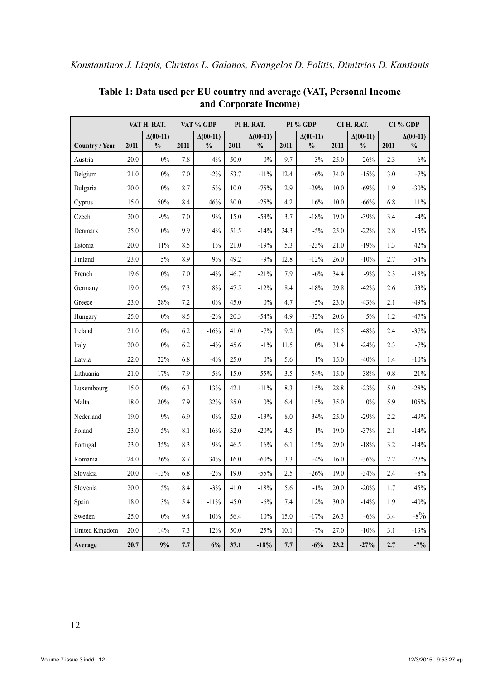|                | VAT H. RAT. |                                  | VAT % GDP |                                  | PI H. RAT. |                                  | PI % GDP |                                  | CI H. RAT. |                                  | CI % GDP |                                  |
|----------------|-------------|----------------------------------|-----------|----------------------------------|------------|----------------------------------|----------|----------------------------------|------------|----------------------------------|----------|----------------------------------|
| Country / Year | 2011        | $\Delta(00-11)$<br>$\frac{0}{0}$ | 2011      | $\Delta(00-11)$<br>$\frac{0}{0}$ | 2011       | $\Delta(00-11)$<br>$\frac{0}{0}$ | 2011     | $\Delta(00-11)$<br>$\frac{0}{0}$ | 2011       | $\Delta(00-11)$<br>$\frac{0}{0}$ | 2011     | $\Delta(00-11)$<br>$\frac{0}{0}$ |
| Austria        | 20.0        | 0%                               | 7.8       | $-4%$                            | 50.0       | 0%                               | 9.7      | $-3%$                            | 25.0       | $-26%$                           | 2.3      | 6%                               |
| Belgium        | 21.0        | 0%                               | 7.0       | $-2%$                            | 53.7       | $-11%$                           | 12.4     | $-6%$                            | 34.0       | $-15%$                           | 3.0      | $-7%$                            |
| Bulgaria       | 20.0        | 0%                               | 8.7       | 5%                               | 10.0       | $-75%$                           | 2.9      | $-29%$                           | 10.0       | $-69%$                           | 1.9      | $-30%$                           |
| Cyprus         | 15.0        | 50%                              | 8.4       | 46%                              | 30.0       | $-25%$                           | 4.2      | 16%                              | 10.0       | $-66%$                           | 6.8      | 11%                              |
| Czech          | 20.0        | $-9%$                            | 7.0       | 9%                               | 15.0       | $-53%$                           | 3.7      | $-18%$                           | 19.0       | $-39%$                           | 3.4      | $-4%$                            |
| Denmark        | 25.0        | $0\%$                            | 9.9       | 4%                               | 51.5       | $-14%$                           | 24.3     | $-5%$                            | 25.0       | $-22%$                           | 2.8      | $-15%$                           |
| Estonia        | 20.0        | 11%                              | 8.5       | $1\%$                            | 21.0       | $-19%$                           | 5.3      | $-23%$                           | 21.0       | $-19%$                           | 1.3      | 42%                              |
| Finland        | 23.0        | 5%                               | 8.9       | 9%                               | 49.2       | $-9%$                            | 12.8     | $-12%$                           | 26.0       | $-10%$                           | 2.7      | $-54%$                           |
| French         | 19.6        | 0%                               | 7.0       | $-4%$                            | 46.7       | $-21%$                           | 7.9      | $-6%$                            | 34.4       | $-9%$                            | 2.3      | $-18%$                           |
| Germany        | 19.0        | 19%                              | 7.3       | 8%                               | 47.5       | $-12%$                           | 8.4      | $-18%$                           | 29.8       | $-42%$                           | 2.6      | 53%                              |
| Greece         | 23.0        | 28%                              | 7.2       | 0%                               | 45.0       | $0\%$                            | 4.7      | $-5%$                            | 23.0       | $-43%$                           | 2.1      | $-49%$                           |
| Hungary        | 25.0        | 0%                               | 8.5       | $-2%$                            | 20.3       | $-54%$                           | 4.9      | $-32%$                           | 20.6       | 5%                               | 1.2      | $-47%$                           |
| Ireland        | 21.0        | 0%                               | 6.2       | $-16%$                           | 41.0       | $-7%$                            | 9.2      | 0%                               | 12.5       | $-48%$                           | 2.4      | $-37%$                           |
| Italy          | 20.0        | 0%                               | 6.2       | $-4%$                            | 45.6       | $-1\%$                           | 11.5     | 0%                               | 31.4       | $-24%$                           | 2.3      | $-7%$                            |
| Latvia         | 22.0        | 22%                              | 6.8       | $-4%$                            | 25.0       | 0%                               | 5.6      | 1%                               | 15.0       | $-40%$                           | 1.4      | $-10%$                           |
| Lithuania      | 21.0        | 17%                              | 7.9       | 5%                               | 15.0       | $-55%$                           | 3.5      | $-54%$                           | 15.0       | $-38%$                           | 0.8      | 21%                              |
| Luxembourg     | 15.0        | 0%                               | 6.3       | 13%                              | 42.1       | $-11%$                           | 8.3      | 15%                              | 28.8       | $-23%$                           | 5.0      | $-28%$                           |
| Malta          | 18.0        | 20%                              | 7.9       | 32%                              | 35.0       | 0%                               | 6.4      | 15%                              | 35.0       | $0\%$                            | 5.9      | 105%                             |
| Nederland      | 19.0        | 9%                               | 6.9       | 0%                               | 52.0       | $-13%$                           | 8.0      | 34%                              | 25.0       | $-29%$                           | 2.2      | $-49%$                           |
| Poland         | 23.0        | 5%                               | 8.1       | 16%                              | 32.0       | $-20%$                           | 4.5      | $1\%$                            | 19.0       | $-37%$                           | 2.1      | $-14%$                           |
| Portugal       | 23.0        | 35%                              | 8.3       | 9%                               | 46.5       | 16%                              | 6.1      | 15%                              | 29.0       | $-18%$                           | 3.2      | $-14%$                           |
| Romania        | 24.0        | 26%                              | 8.7       | 34%                              | 16.0       | $-60%$                           | 3.3      | $-4%$                            | 16.0       | $-36%$                           | 2.2      | $-27%$                           |
| Slovakia       | 20.0        | $-13%$                           | 6.8       | $-2%$                            | 19.0       | $-55%$                           | 2.5      | $-26%$                           | 19.0       | $-34%$                           | 2.4      | $-8%$                            |
| Slovenia       | 20.0        | 5%                               | 8.4       | $-3%$                            | 41.0       | $-18%$                           | 5.6      | $-1\%$                           | 20.0       | $-20%$                           | 1.7      | 45%                              |
| Spain          | 18.0        | 13%                              | 5.4       | $-11%$                           | 45.0       | $-6%$                            | 7.4      | 12%                              | 30.0       | $-14%$                           | 1.9      | $-40%$                           |
| Sweden         | 25.0        | 0%                               | 9.4       | 10%                              | 56.4       | 10%                              | 15.0     | $-17%$                           | 26.3       | $-6%$                            | 3.4      | $-8\%$                           |
| United Kingdom | 20.0        | 14%                              | 7.3       | 12%                              | 50.0       | 25%                              | 10.1     | $-7%$                            | 27.0       | $-10%$                           | 3.1      | $-13%$                           |
| Average        | 20.7        | 9%                               | 7.7       | 6%                               | 37.1       | $-18%$                           | 7.7      | $-6%$                            | 23.2       | $-27%$                           | 2.7      | $-7%$                            |

# **Table 1: Data used per EU country and average (VAT, Personal Income and Corporate Income)**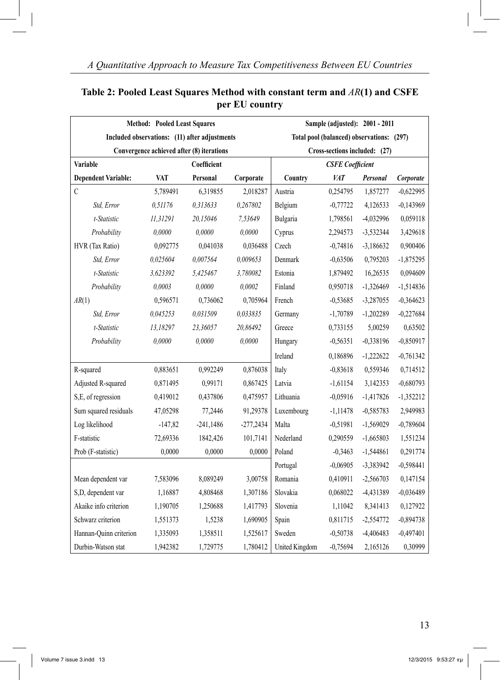|                                                                            | <b>Method: Pooled Least Squares</b> |                                               | Sample (adjusted): 2001 - 2011            |                |            |             |             |  |  |  |
|----------------------------------------------------------------------------|-------------------------------------|-----------------------------------------------|-------------------------------------------|----------------|------------|-------------|-------------|--|--|--|
|                                                                            |                                     | Included observations: (11) after adjustments | Total pool (balanced) observations: (297) |                |            |             |             |  |  |  |
| Convergence achieved after (8) iterations<br>Cross-sections included: (27) |                                     |                                               |                                           |                |            |             |             |  |  |  |
| Variable                                                                   |                                     | Coefficient                                   | <b>CSFE</b> Coefficient                   |                |            |             |             |  |  |  |
| <b>Dependent Variable:</b>                                                 | <b>VAT</b>                          | Personal                                      | Corporate                                 | Country        | <b>VAT</b> | Personal    | Corporate   |  |  |  |
| $\mathsf C$                                                                | 5,789491                            | 6,319855                                      | 2,018287                                  | Austria        | 0,254795   | 1,857277    | $-0,622995$ |  |  |  |
| Std, Error                                                                 | 0.51176                             | 0.313633                                      | 0,267802                                  | Belgium        | $-0,77722$ | 4,126533    | $-0,143969$ |  |  |  |
| t-Statistic                                                                | 11,31291                            | 20,15046                                      | 7,53649                                   | Bulgaria       | 1,798561   | -4,032996   | 0,059118    |  |  |  |
| Probability                                                                | 0,0000                              | 0.0000                                        | 0,0000                                    | Cyprus         | 2,294573   | -3,532344   | 3,429618    |  |  |  |
| HVR (Tax Ratio)                                                            | 0,092775                            | 0,041038                                      | 0,036488                                  | Czech          | $-0,74816$ | $-3,186632$ | 0,900406    |  |  |  |
| Std, Error                                                                 | 0,025604                            | 0,007564                                      | 0,009653                                  | Denmark        | $-0,63506$ | 0,795203    | $-1,875295$ |  |  |  |
| t-Statistic                                                                | 3,623392                            | 5,425467                                      | 3,780082                                  | Estonia        | 1,879492   | 16,26535    | 0,094609    |  |  |  |
| Probability                                                                | 0.0003                              | 0.0000                                        | 0.0002                                    | Finland        | 0,950718   | $-1,326469$ | $-1,514836$ |  |  |  |
| AR(1)                                                                      | 0,596571                            | 0,736062                                      | 0,705964                                  | French         | $-0,53685$ | -3,287055   | $-0,364623$ |  |  |  |
| Std, Error                                                                 | 0.045253                            | 0.031509                                      | 0.033835                                  | Germany        | $-1,70789$ | $-1,202289$ | $-0,227684$ |  |  |  |
| t-Statistic                                                                | 13,18297                            | 23,36057                                      | 20,86492                                  | Greece         | 0,733155   | 5,00259     | 0,63502     |  |  |  |
| Probability                                                                | 0,0000                              | 0,0000                                        | 0,0000                                    | Hungary        | $-0,56351$ | $-0,338196$ | $-0,850917$ |  |  |  |
|                                                                            |                                     |                                               |                                           | Ireland        | 0,186896   | $-1,222622$ | $-0.761342$ |  |  |  |
| R-squared                                                                  | 0,883651                            | 0,992249                                      | 0,876038                                  | Italy          | $-0,83618$ | 0,559346    | 0,714512    |  |  |  |
| Adjusted R-squared                                                         | 0,871495                            | 0,99171                                       | 0,867425                                  | Latvia         | $-1,61154$ | 3,142353    | $-0,680793$ |  |  |  |
| S,E, of regression                                                         | 0,419012                            | 0,437806                                      | 0,475957                                  | Lithuania      | $-0,05916$ | $-1,417826$ | $-1,352212$ |  |  |  |
| Sum squared residuals                                                      | 47,05298                            | 77,2446                                       | 91,29378                                  | Luxembourg     | $-1,11478$ | $-0,585783$ | 2,949983    |  |  |  |
| Log likelihood                                                             | $-147,82$                           | $-241,1486$                                   | $-277,2434$                               | Malta          | $-0,51981$ | $-1,569029$ | $-0,789604$ |  |  |  |
| F-statistic                                                                | 72,69336                            | 1842,426                                      | 101,7141                                  | Nederland      | 0,290559   | $-1,665803$ | 1,551234    |  |  |  |
| Prob (F-statistic)                                                         | 0,0000                              | 0,0000                                        | 0,0000                                    | Poland         | $-0,3463$  | $-1,544861$ | 0,291774    |  |  |  |
|                                                                            |                                     |                                               |                                           | Portugal       | $-0.06905$ | $-3,383942$ | $-0,598441$ |  |  |  |
| Mean dependent var                                                         | 7,583096                            | 8,089249                                      | 3,00758                                   | Romania        | 0,410911   | $-2,566703$ | 0,147154    |  |  |  |
| S,D, dependent var                                                         | 1,16887                             | 4,808468                                      | 1,307186                                  | Slovakia       | 0,068022   | -4,431389   | $-0,036489$ |  |  |  |
| Akaike info criterion                                                      | 1,190705                            | 1,250688                                      | 1,417793                                  | Slovenia       | 1,11042    | 8,341413    | 0,127922    |  |  |  |
| Schwarz criterion                                                          | 1,551373                            | 1,5238                                        | 1,690905                                  | Spain          | 0,811715   | $-2,554772$ | $-0,894738$ |  |  |  |
| Hannan-Quinn criterion                                                     | 1,335093                            | 1,358511                                      | 1,525617                                  | Sweden         | $-0,50738$ | -4,406483   | $-0,497401$ |  |  |  |
| Durbin-Watson stat                                                         | 1,942382                            | 1,729775                                      | 1,780412                                  | United Kingdom | $-0,75694$ | 2,165126    | 0,30999     |  |  |  |

# **Table 2: Pooled Least Squares Method with constant term and** *AR***(1) and CSFE per EU country**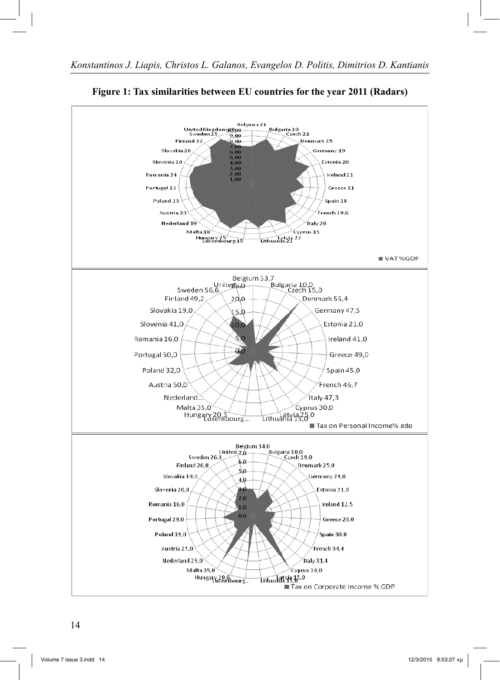

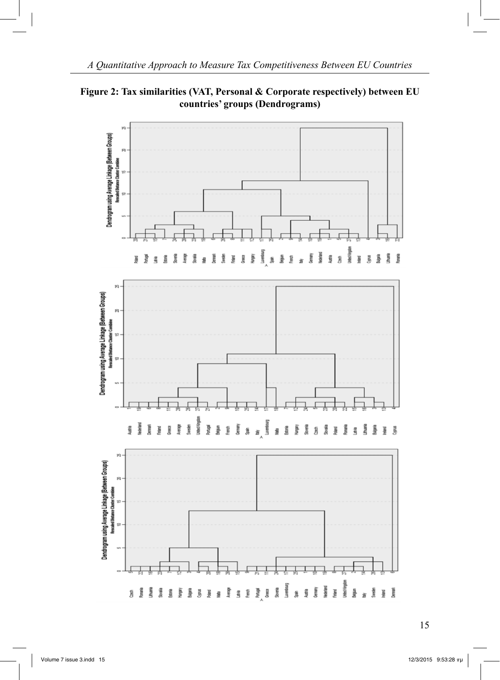

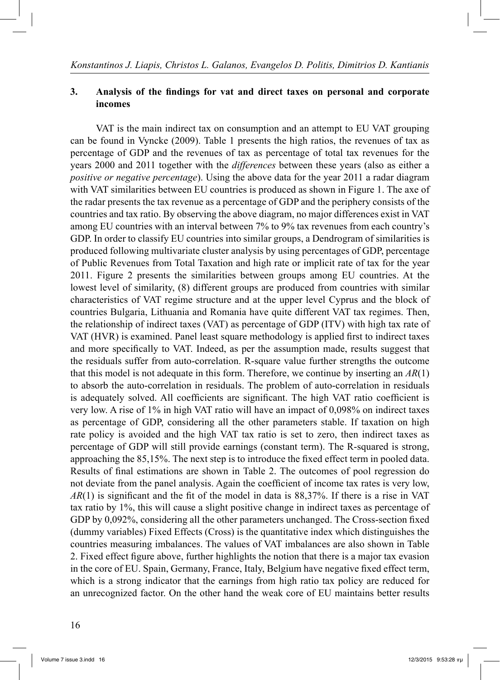### **3. Analysis of the findings for vat and direct taxes on personal and corporate incomes**

 VAT is the main indirect tax on consumption and an attempt to EU VAT grouping can be found in Vyncke (2009). Table 1 presents the high ratios, the revenues of tax as percentage of GDP and the revenues of tax as percentage of total tax revenues for the years 2000 and 2011 together with the *differences* between these years (also as either a *positive or negative percentage*). Using the above data for the year 2011 a radar diagram with VAT similarities between EU countries is produced as shown in Figure 1. The axe of the radar presents the tax revenue as a percentage of GDP and the periphery consists of the countries and tax ratio. By observing the above diagram, no major differences exist in VAT among EU countries with an interval between 7% to 9% tax revenues from each country's GDP. In order to classify EU countries into similar groups, a Dendrogram of similarities is produced following multivariate cluster analysis by using percentages of GDP, percentage of Public Revenues from Total Taxation and high rate or implicit rate of tax for the year 2011. Figure 2 presents the similarities between groups among EU countries. At the lowest level of similarity, (8) different groups are produced from countries with similar characteristics of VAT regime structure and at the upper level Cyprus and the block of countries Bulgaria, Lithuania and Romania have quite different VAT tax regimes. Then, the relationship of indirect taxes (VAT) as percentage of GDP (ITV) with high tax rate of VAT (HVR) is examined. Panel least square methodology is applied first to indirect taxes and more specifically to VAT. Indeed, as per the assumption made, results suggest that the residuals suffer from auto-correlation. R-square value further strengths the outcome that this model is not adequate in this form. Therefore, we continue by inserting an *AR*(1) to absorb the auto-correlation in residuals. The problem of auto-correlation in residuals is adequately solved. All coefficients are significant. The high VAT ratio coefficient is very low. A rise of 1% in high VAT ratio will have an impact of 0,098% on indirect taxes as percentage of GDP, considering all the other parameters stable. If taxation on high rate policy is avoided and the high VAT tax ratio is set to zero, then indirect taxes as percentage of GDP will still provide earnings (constant term). The R-squared is strong, approaching the 85,15%. The next step is to introduce the fixed effect term in pooled data. Results of final estimations are shown in Table 2. The outcomes of pool regression do not deviate from the panel analysis. Again the coefficient of income tax rates is very low, *AR*(1) is significant and the fit of the model in data is 88,37%. If there is a rise in VAT tax ratio by 1%, this will cause a slight positive change in indirect taxes as percentage of GDP by 0,092%, considering all the other parameters unchanged. The Cross-section fixed (dummy variables) Fixed Effects (Cross) is the quantitative index which distinguishes the countries measuring imbalances. The values of VAT imbalances are also shown in Table 2. Fixed effect figure above, further highlights the notion that there is a major tax evasion in the core of EU. Spain, Germany, France, Italy, Belgium have negative fixed effect term, which is a strong indicator that the earnings from high ratio tax policy are reduced for an unrecognized factor. On the other hand the weak core of EU maintains better results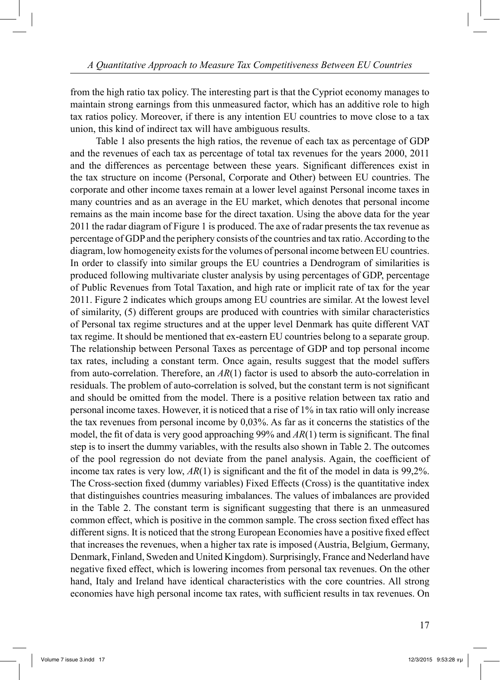from the high ratio tax policy. The interesting part is that the Cypriot economy manages to maintain strong earnings from this unmeasured factor, which has an additive role to high tax ratios policy. Moreover, if there is any intention EU countries to move close to a tax union, this kind of indirect tax will have ambiguous results.

 Table 1 also presents the high ratios, the revenue of each tax as percentage of GDP and the revenues of each tax as percentage of total tax revenues for the years 2000, 2011 and the differences as percentage between these years. Significant differences exist in the tax structure on income (Personal, Corporate and Other) between EU countries. The corporate and other income taxes remain at a lower level against Personal income taxes in many countries and as an average in the EU market, which denotes that personal income remains as the main income base for the direct taxation. Using the above data for the year 2011 the radar diagram of Figure 1 is produced. The axe of radar presents the tax revenue as percentage of GDP and the periphery consists of the countries and tax ratio. According to the diagram, low homogeneity exists for the volumes of personal income between EU countries. In order to classify into similar groups the EU countries a Dendrogram of similarities is produced following multivariate cluster analysis by using percentages of GDP, percentage of Public Revenues from Total Taxation, and high rate or implicit rate of tax for the year 2011. Figure 2 indicates which groups among EU countries are similar. At the lowest level of similarity, (5) different groups are produced with countries with similar characteristics of Personal tax regime structures and at the upper level Denmark has quite different VAT tax regime. It should be mentioned that ex-eastern EU countries belong to a separate group. The relationship between Personal Taxes as percentage of GDP and top personal income tax rates, including a constant term. Once again, results suggest that the model suffers from auto-correlation. Therefore, an *AR*(1) factor is used to absorb the auto-correlation in residuals. The problem of auto-correlation is solved, but the constant term is not significant and should be omitted from the model. There is a positive relation between tax ratio and personal income taxes. However, it is noticed that a rise of 1% in tax ratio will only increase the tax revenues from personal income by 0,03%. As far as it concerns the statistics of the model, the fit of data is very good approaching 99% and *AR*(1) term is significant. The final step is to insert the dummy variables, with the results also shown in Table 2. The outcomes of the pool regression do not deviate from the panel analysis. Again, the coefficient of income tax rates is very low,  $AR(1)$  is significant and the fit of the model in data is 99.2%. The Cross-section fixed (dummy variables) Fixed Effects (Cross) is the quantitative index that distinguishes countries measuring imbalances. The values of imbalances are provided in the Table 2. The constant term is significant suggesting that there is an unmeasured common effect, which is positive in the common sample. The cross section fixed effect has different signs. It is noticed that the strong European Economies have a positive fixed effect that increases the revenues, when a higher tax rate is imposed (Austria, Belgium, Germany, Denmark, Finland, Sweden and United Kingdom). Surprisingly, France and Nederland have negative fixed effect, which is lowering incomes from personal tax revenues. On the other hand, Italy and Ireland have identical characteristics with the core countries. All strong economies have high personal income tax rates, with sufficient results in tax revenues. On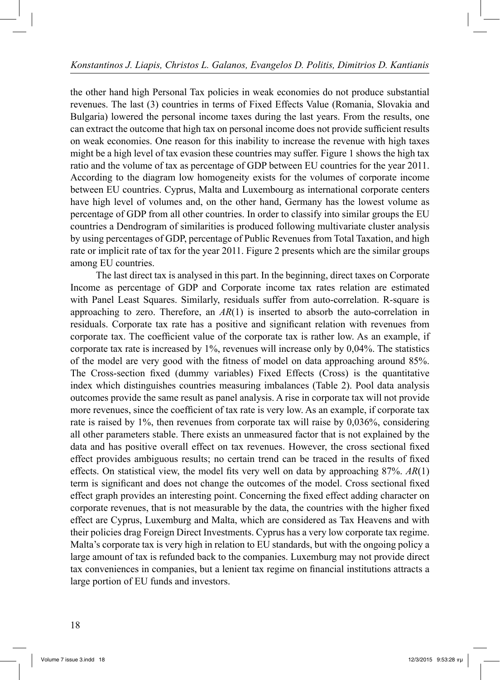the other hand high Personal Tax policies in weak economies do not produce substantial revenues. The last (3) countries in terms of Fixed Effects Value (Romania, Slovakia and Bulgaria) lowered the personal income taxes during the last years. From the results, one can extract the outcome that high tax on personal income does not provide sufficient results on weak economies. One reason for this inability to increase the revenue with high taxes might be a high level of tax evasion these countries may suffer. Figure 1 shows the high tax ratio and the volume of tax as percentage of GDP between EU countries for the year 2011. According to the diagram low homogeneity exists for the volumes of corporate income between EU countries. Cyprus, Malta and Luxembourg as international corporate centers have high level of volumes and, on the other hand, Germany has the lowest volume as percentage of GDP from all other countries. In order to classify into similar groups the EU countries a Dendrogram of similarities is produced following multivariate cluster analysis by using percentages of GDP, percentage of Public Revenues from Total Taxation, and high rate or implicit rate of tax for the year 2011. Figure 2 presents which are the similar groups among EU countries.

 The last direct tax is analysed in this part. In the beginning, direct taxes on Corporate Income as percentage of GDP and Corporate income tax rates relation are estimated with Panel Least Squares. Similarly, residuals suffer from auto-correlation. R-square is approaching to zero. Therefore, an *AR*(1) is inserted to absorb the auto-correlation in residuals. Corporate tax rate has a positive and significant relation with revenues from corporate tax. The coefficient value of the corporate tax is rather low. As an example, if corporate tax rate is increased by 1%, revenues will increase only by 0,04%. The statistics of the model are very good with the fitness of model on data approaching around 85%. The Cross-section fixed (dummy variables) Fixed Effects (Cross) is the quantitative index which distinguishes countries measuring imbalances (Table 2). Pool data analysis outcomes provide the same result as panel analysis. A rise in corporate tax will not provide more revenues, since the coefficient of tax rate is very low. As an example, if corporate tax rate is raised by 1%, then revenues from corporate tax will raise by 0,036%, considering all other parameters stable. There exists an unmeasured factor that is not explained by the data and has positive overall effect on tax revenues. However, the cross sectional fixed effect provides ambiguous results; no certain trend can be traced in the results of fixed effects. On statistical view, the model fits very well on data by approaching 87%. *AR*(1) term is significant and does not change the outcomes of the model. Cross sectional fixed effect graph provides an interesting point. Concerning the fixed effect adding character on corporate revenues, that is not measurable by the data, the countries with the higher fixed effect are Cyprus, Luxemburg and Malta, which are considered as Tax Heavens and with their policies drag Foreign Direct Investments. Cyprus has a very low corporate tax regime. Malta's corporate tax is very high in relation to EU standards, but with the ongoing policy a large amount of tax is refunded back to the companies. Luxemburg may not provide direct tax conveniences in companies, but a lenient tax regime on financial institutions attracts a large portion of EU funds and investors.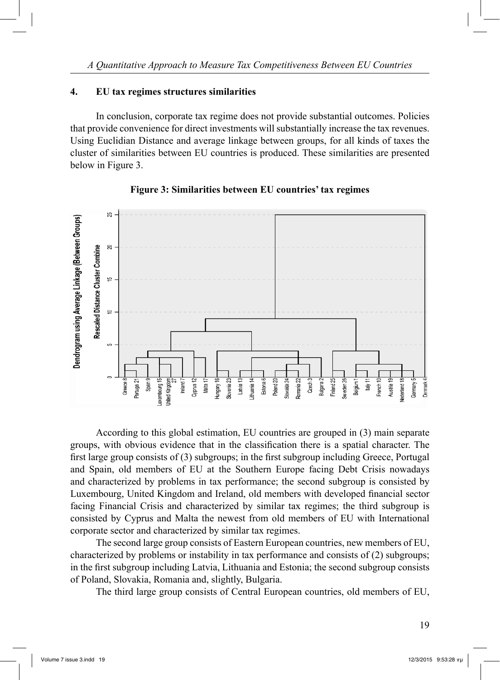### **4. EU tax regimes structures similarities**

 In conclusion, corporate tax regime does not provide substantial outcomes. Policies that provide convenience for direct investments will substantially increase the tax revenues. Using Euclidian Distance and average linkage between groups, for all kinds of taxes the cluster of similarities between EU countries is produced. These similarities are presented below in Figure 3.



### **Figure 3: Similarities between EU countries' tax regimes**

 According to this global estimation, EU countries are grouped in (3) main separate groups, with obvious evidence that in the classification there is a spatial character. The first large group consists of (3) subgroups; in the first subgroup including Greece, Portugal and Spain, old members of EU at the Southern Europe facing Debt Crisis nowadays and characterized by problems in tax performance; the second subgroup is consisted by Luxembourg, United Kingdom and Ireland, old members with developed financial sector facing Financial Crisis and characterized by similar tax regimes; the third subgroup is consisted by Cyprus and Malta the newest from old members of EU with International corporate sector and characterized by similar tax regimes.

 The second large group consists of Eastern European countries, new members of EU, characterized by problems or instability in tax performance and consists of (2) subgroups; in the first subgroup including Latvia, Lithuania and Estonia; the second subgroup consists of Poland, Slovakia, Romania and, slightly, Bulgaria.

The third large group consists of Central European countries, old members of EU,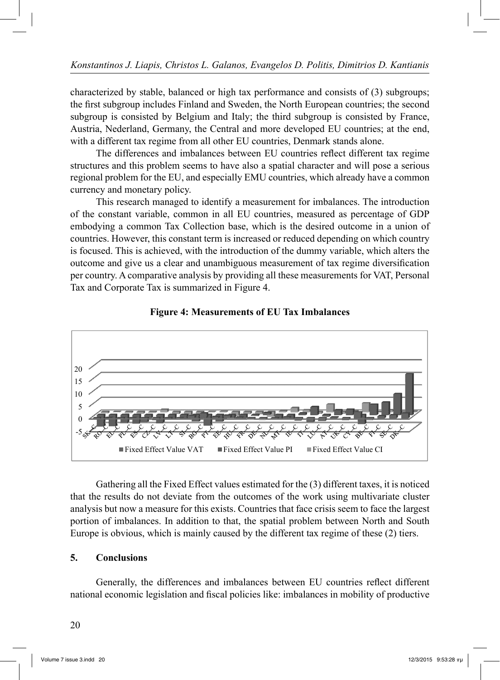characterized by stable, balanced or high tax performance and consists of (3) subgroups; the first subgroup includes Finland and Sweden, the North European countries; the second subgroup is consisted by Belgium and Italy; the third subgroup is consisted by France, Austria, Nederland, Germany, the Central and more developed EU countries; at the end, with a different tax regime from all other EU countries, Denmark stands alone.

 The differences and imbalances between EU countries reflect different tax regime structures and this problem seems to have also a spatial character and will pose a serious regional problem for the EU, and especially EMU countries, which already have a common currency and monetary policy.

 This research managed to identify a measurement for imbalances. The introduction of the constant variable, common in all EU countries, measured as percentage of GDP embodying a common Tax Collection base, which is the desired outcome in a union of countries. However, this constant term is increased or reduced depending on which country is focused. This is achieved, with the introduction of the dummy variable, which alters the outcome and give us a clear and unambiguous measurement of tax regime diversification per country. A comparative analysis by providing all these measurements for VAT, Personal Tax and Corporate Tax is summarized in Figure 4.





 Gathering all the Fixed Effect values estimated for the (3) different taxes, it is noticed that the results do not deviate from the outcomes of the work using multivariate cluster analysis but now a measure for this exists. Countries that face crisis seem to face the largest portion of imbalances. In addition to that, the spatial problem between North and South Europe is obvious, which is mainly caused by the different tax regime of these (2) tiers.

## **5. Conclusions**

 Generally, the differences and imbalances between EU countries reflect different national economic legislation and fiscal policies like: imbalances in mobility of productive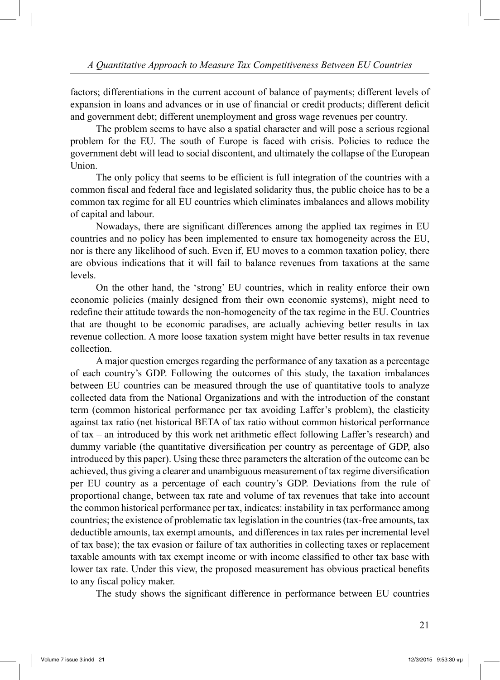factors; differentiations in the current account of balance of payments; different levels of expansion in loans and advances or in use of financial or credit products; different deficit and government debt; different unemployment and gross wage revenues per country.

 The problem seems to have also a spatial character and will pose a serious regional problem for the EU. The south of Europe is faced with crisis. Policies to reduce the government debt will lead to social discontent, and ultimately the collapse of the European Union.

 The only policy that seems to be efficient is full integration of the countries with a common fiscal and federal face and legislated solidarity thus, the public choice has to be a common tax regime for all EU countries which eliminates imbalances and allows mobility of capital and labour.

 Nowadays, there are significant differences among the applied tax regimes in EU countries and no policy has been implemented to ensure tax homogeneity across the EU, nor is there any likelihood of such. Even if, EU moves to a common taxation policy, there are obvious indications that it will fail to balance revenues from taxations at the same levels.

 On the other hand, the 'strong' EU countries, which in reality enforce their own economic policies (mainly designed from their own economic systems), might need to redefine their attitude towards the non-homogeneity of the tax regime in the EU. Countries that are thought to be economic paradises, are actually achieving better results in tax revenue collection. A more loose taxation system might have better results in tax revenue collection.

 A major question emerges regarding the performance of any taxation as a percentage of each country's GDP. Following the outcomes of this study, the taxation imbalances between EU countries can be measured through the use of quantitative tools to analyze collected data from the National Organizations and with the introduction of the constant term (common historical performance per tax avoiding Laffer's problem), the elasticity against tax ratio (net historical BETA of tax ratio without common historical performance of tax – an introduced by this work net arithmetic effect following Laffer's research) and dummy variable (the quantitative diversification per country as percentage of GDP, also introduced by this paper). Using these three parameters the alteration of the outcome can be achieved, thus giving a clearer and unambiguous measurement of tax regime diversification per EU country as a percentage of each country's GDP. Deviations from the rule of proportional change, between tax rate and volume of tax revenues that take into account the common historical performance per tax, indicates: instability in tax performance among countries; the existence of problematic tax legislation in the countries (tax-free amounts, tax deductible amounts, tax exempt amounts, and differences in tax rates per incremental level of tax base); the tax evasion or failure of tax authorities in collecting taxes or replacement taxable amounts with tax exempt income or with income classified to other tax base with lower tax rate. Under this view, the proposed measurement has obvious practical benefits to any fiscal policy maker.

The study shows the significant difference in performance between EU countries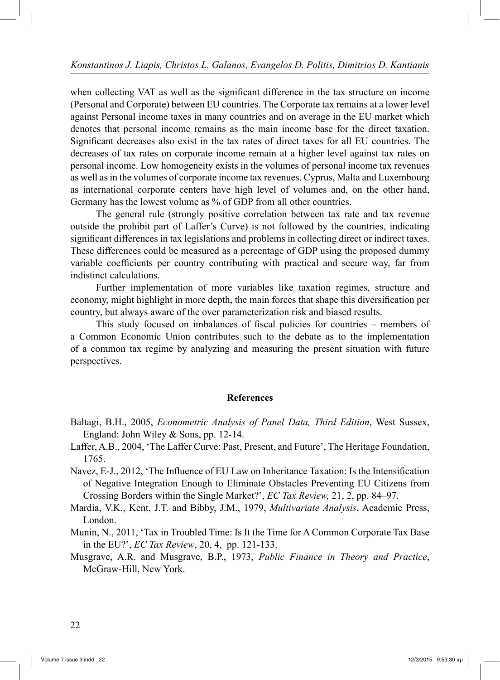when collecting VAT as well as the significant difference in the tax structure on income (Personal and Corporate) between EU countries. The Corporate tax remains at a lower level against Personal income taxes in many countries and on average in the EU market which denotes that personal income remains as the main income base for the direct taxation. Significant decreases also exist in the tax rates of direct taxes for all EU countries. The decreases of tax rates on corporate income remain at a higher level against tax rates on personal income. Low homogeneity exists in the volumes of personal income tax revenues as well as in the volumes of corporate income tax revenues. Cyprus, Malta and Luxembourg as international corporate centers have high level of volumes and, on the other hand, Germany has the lowest volume as % of GDP from all other countries.

 The general rule (strongly positive correlation between tax rate and tax revenue outside the prohibit part of Laffer's Curve) is not followed by the countries, indicating significant differences in tax legislations and problems in collecting direct or indirect taxes. These differences could be measured as a percentage of GDP using the proposed dummy variable coefficients per country contributing with practical and secure way, far from indistinct calculations.

 Further implementation of more variables like taxation regimes, structure and economy, might highlight in more depth, the main forces that shape this diversification per country, but always aware of the over parameterization risk and biased results.

 This study focused on imbalances of fiscal policies for countries – members of a Common Economic Union contributes such to the debate as to the implementation of a common tax regime by analyzing and measuring the present situation with future perspectives.

### **References**

- Baltagi, B.H., 2005, *Econometric Analysis of Panel Data, Third Edition*, West Sussex, England: John Wiley & Sons, pp. 12-14.
- Laffer, A.B., 2004, 'The Laffer Curve: Past, Present, and Future', The Heritage Foundation, 1765.
- Navez, E-J., 2012, 'The Influence of EU Law on Inheritance Taxation: Is the Intensification of Negative Integration Enough to Eliminate Obstacles Preventing EU Citizens from Crossing Borders within the Single Market?', *EC Tax Review,* 21, 2, pp. 84–97.
- Mardia, V.K., Kent, J.T. and Bibby, J.M., 1979, *Multivariate Analysis*, Academic Press, London.
- Munin, N., 2011, 'Tax in Troubled Time: Is It the Time for A Common Corporate Tax Base in the EU?', *EC Tax Review*, 20, 4, pp. 121-133.
- Musgrave, A.R. and Musgrave, B.P., 1973, *Public Finance in Theory and Practice*, McGraw-Hill, New York.